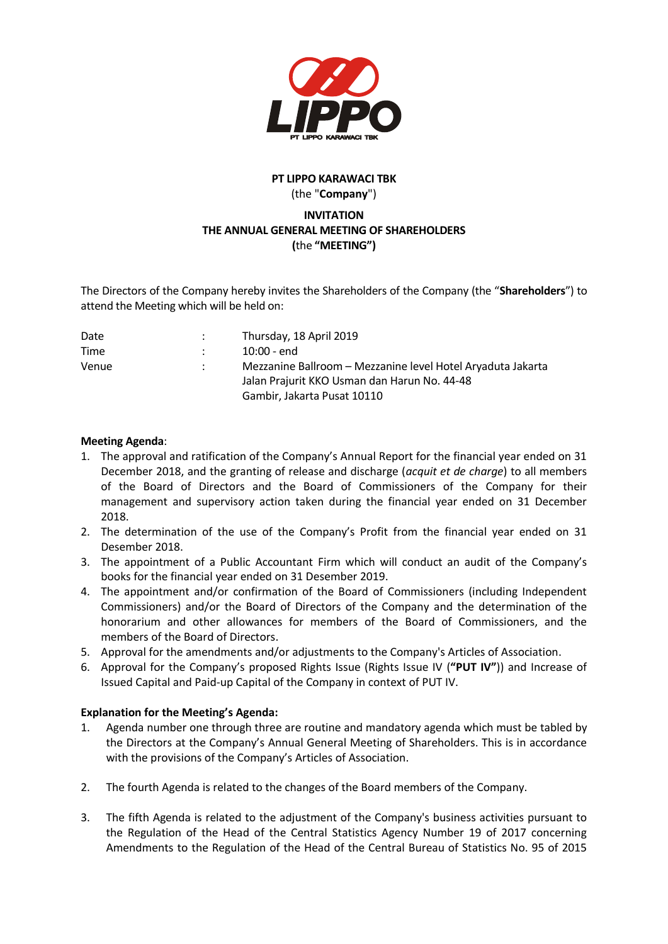

# **PT LIPPO KARAWACI TBK** (the "**Company**")

## **INVITATION THE ANNUAL GENERAL MEETING OF SHAREHOLDERS (**the **"MEETING")**

The Directors of the Company hereby invites the Shareholders of the Company (the "**Shareholders**") to attend the Meeting which will be held on:

| Date        | Thursday, 18 April 2019                                     |
|-------------|-------------------------------------------------------------|
| <b>Time</b> | 10:00 - end                                                 |
| Venue       | Mezzanine Ballroom – Mezzanine level Hotel Aryaduta Jakarta |
|             | Jalan Prajurit KKO Usman dan Harun No. 44-48                |
|             | Gambir, Jakarta Pusat 10110                                 |

### **Meeting Agenda**:

- 1. The approval and ratification of the Company's Annual Report for the financial year ended on 31 December 2018, and the granting of release and discharge (*acquit et de charge*) to all members of the Board of Directors and the Board of Commissioners of the Company for their management and supervisory action taken during the financial year ended on 31 December 2018.
- 2. The determination of the use of the Company's Profit from the financial year ended on 31 Desember 2018.
- 3. The appointment of a Public Accountant Firm which will conduct an audit of the Company's books for the financial year ended on 31 Desember 2019.
- 4. The appointment and/or confirmation of the Board of Commissioners (including Independent Commissioners) and/or the Board of Directors of the Company and the determination of the honorarium and other allowances for members of the Board of Commissioners, and the members of the Board of Directors.
- 5. Approval for the amendments and/or adjustments to the Company's Articles of Association.
- 6. Approval for the Company's proposed Rights Issue (Rights Issue IV (**"PUT IV"**)) and Increase of Issued Capital and Paid-up Capital of the Company in context of PUT IV.

#### **Explanation for the Meeting's Agenda:**

- 1. Agenda number one through three are routine and mandatory agenda which must be tabled by the Directors at the Company's Annual General Meeting of Shareholders. This is in accordance with the provisions of the Company's Articles of Association.
- 2. The fourth Agenda is related to the changes of the Board members of the Company.
- 3. The fifth Agenda is related to the adjustment of the Company's business activities pursuant to the Regulation of the Head of the Central Statistics Agency Number 19 of 2017 concerning Amendments to the Regulation of the Head of the Central Bureau of Statistics No. 95 of 2015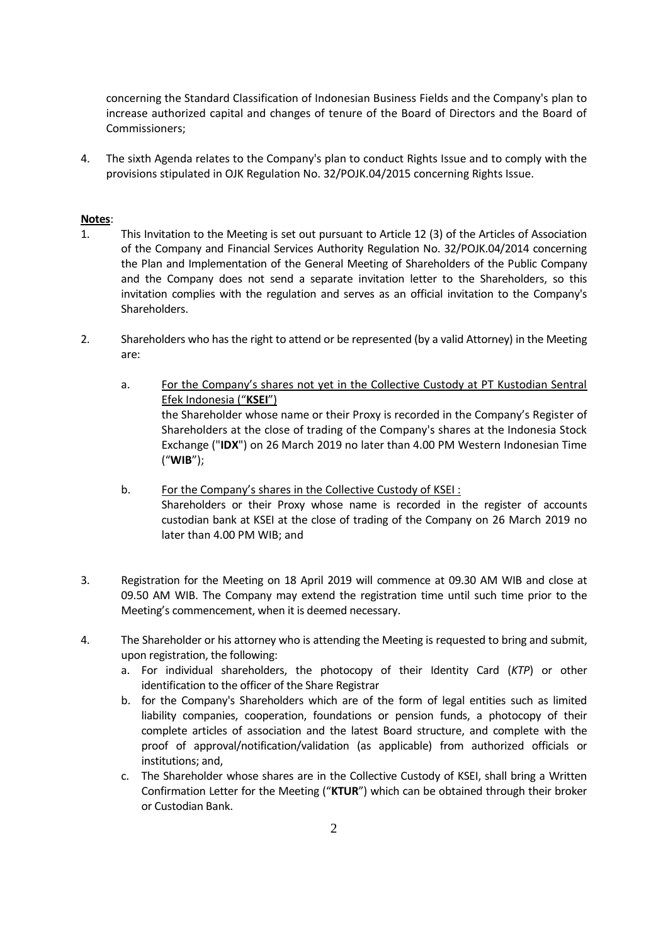concerning the Standard Classification of Indonesian Business Fields and the Company's plan to increase authorized capital and changes of tenure of the Board of Directors and the Board of Commissioners;

4. The sixth Agenda relates to the Company's plan to conduct Rights Issue and to comply with the provisions stipulated in OJK Regulation No. 32/POJK.04/2015 concerning Rights Issue.

#### **Notes**:

- 1. This Invitation to the Meeting is set out pursuant to Article 12 (3) of the Articles of Association of the Company and Financial Services Authority Regulation No. 32/POJK.04/2014 concerning the Plan and Implementation of the General Meeting of Shareholders of the Public Company and the Company does not send a separate invitation letter to the Shareholders, so this invitation complies with the regulation and serves as an official invitation to the Company's Shareholders.
- 2. Shareholders who has the right to attend or be represented (by a valid Attorney) in the Meeting are:
	- a. For the Company's shares not yet in the Collective Custody at PT Kustodian Sentral Efek Indonesia ("**KSEI**") the Shareholder whose name or their Proxy is recorded in the Company's Register of Shareholders at the close of trading of the Company's shares at the Indonesia Stock Exchange ("**IDX**") on 26 March 2019 no later than 4.00 PM Western Indonesian Time ("**WIB**");
	- b. For the Company's shares in the Collective Custody of KSEI : Shareholders or their Proxy whose name is recorded in the register of accounts custodian bank at KSEI at the close of trading of the Company on 26 March 2019 no later than 4.00 PM WIB; and
- 3. Registration for the Meeting on 18 April 2019 will commence at 09.30 AM WIB and close at 09.50 AM WIB. The Company may extend the registration time until such time prior to the Meeting's commencement, when it is deemed necessary.
- 4. The Shareholder or his attorney who is attending the Meeting is requested to bring and submit, upon registration, the following:
	- a. For individual shareholders, the photocopy of their Identity Card (*KTP*) or other identification to the officer of the Share Registrar
	- b. for the Company's Shareholders which are of the form of legal entities such as limited liability companies, cooperation, foundations or pension funds, a photocopy of their complete articles of association and the latest Board structure, and complete with the proof of approval/notification/validation (as applicable) from authorized officials or institutions; and,
	- c. The Shareholder whose shares are in the Collective Custody of KSEI, shall bring a Written Confirmation Letter for the Meeting ("**KTUR**") which can be obtained through their broker or Custodian Bank.